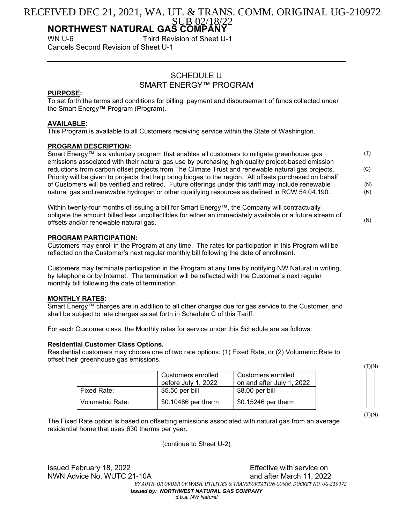# SUB 02/18/2 RECEIVED DEC 21, 2021, WA. UT. & TRANS. COMM. ORIGINAL UG-210972

# **NORTHWEST NATURAL GAS COMPANY**<br>WN U-6 Third Revision of Sheet U

Third Revision of Sheet U-1 Cancels Second Revision of Sheet U-1

# SCHEDULE U SMART ENERGY™ PROGRAM

## **PURPOSE:**

To set forth the terms and conditions for billing, payment and disbursement of funds collected under the Smart Energy**™** Program (Program).

# **AVAILABLE:**

This Program is available to all Customers receiving service within the State of Washington.

## **PROGRAM DESCRIPTION:**

Smart Energy™ is a voluntary program that enables all customers to mitigate greenhouse gas emissions associated with their natural gas use by purchasing high quality project-based emission reductions from carbon offset projects from The Climate Trust and renewable natural gas projects. Priority will be given to projects that help bring biogas to the region. All offsets purchased on behalf of Customers will be verified and retired. Future offerings under this tariff may include renewable natural gas and renewable hydrogen or other qualifying resources as defined in RCW 54.04.190. (T) (C) (N) (N)

Within twenty-four months of issuing a bill for Smart Energy™, the Company will contractually obligate the amount billed less uncollectibles for either an immediately available or a future stream of offsets and/or renewable natural gas. (N)

## **PROGRAM PARTICIPATION:**

Customers may enroll in the Program at any time. The rates for participation in this Program will be reflected on the Customer's next regular monthly bill following the date of enrollment.

Customers may terminate participation in the Program at any time by notifying NW Natural in writing, by telephone or by Internet. The termination will be reflected with the Customer's next regular monthly bill following the date of termination.

## **MONTHLY RATES:**

Smart Energy™ charges are in addition to all other charges due for gas service to the Customer, and shall be subject to late charges as set forth in Schedule C of this Tariff.

For each Customer class, the Monthly rates for service under this Schedule are as follows:

## **Residential Customer Class Options.**

Residential customers may choose one of two rate options: (1) Fixed Rate, or (2) Volumetric Rate to offset their greenhouse gas emissions.

|                  | Customers enrolled<br>before July 1, 2022 | Customers enrolled<br>on and after July 1, 2022 |
|------------------|-------------------------------------------|-------------------------------------------------|
| Fixed Rate:      | $$5.50$ per bill                          | $$8.00$ per bill                                |
| Volumetric Rate: | \$0.10486 per therm                       | \$0.15246 per therm                             |

 $(T)(N)$ 

(T)(N)

The Fixed Rate option is based on offsetting emissions associated with natural gas from an average residential home that uses 630 therms per year.

(continue to Sheet U-2)

NWN Advice No. WUTC 21-10A and after March 11, 2022

Issued February 18, 2022 **Effective with service on** *BY AUTH. OR ORDER OF WASH. UTILITIES & TRANSPORTATION COMM. DOCKET NO. UG-210972*

*Issued by: NORTHWEST NATURAL GAS COMPANY d.b.a. NW Natural*